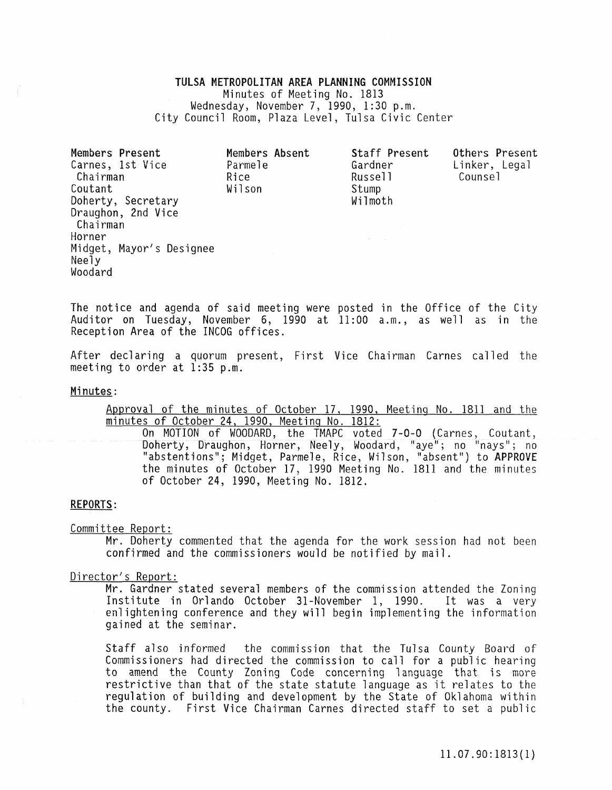# TULSA METROPOLITAN AREA PLANNING COMMISSION Minutes of Meeting No. 1813 Wednesday, November 7, 1990, 1:30 p.m. City Council Room, Plaza Level, Tulsa Civic Center

Members Present Carnes, 1st Vice Chairman Coutant Doherty, Secretary Draughon, 2nd Vice Chairman Horner Midget, Mayor's Designee Neely Woodard Members Absent Parmele Rice Wil son Staff Present Gardner Russe<sub>11</sub> Stump Wilmoth Others Present Linker, Legal Counsel

The notice and agenda of said meeting were posted in the Office of the City Auditor on Tuesday, November 6, 1990 at 11:00 a.m., as well as in the Reception Area of the INCOG offices.

After declaring a quorum present, First Vice Chairman Carnes called the meeting to order at 1:35 p.m.

### Minutes:

Approval of the minutes of October 17, 1990, Meeting No. 1811 and the minutes of October 24, 1990, Meeting No. 1812:

On MOTION of WOODARD, the TMAPC voted 7-0-0 (Carnes, Coutant, Doherty, Draughon, Horner, Neely, Woodard, "aye"; no "nays"; no "abstentions"; Midget, Parmele, Rice, Wilson, "absent") to APPROVE the minutes of October 17. 1990 Meetina No. 1811 and the minutes On MOTION of WOODARD, the TMAPC Voted 7-0-0 (Carnes, Co<br>Doherty, Draughon, Horner, Neely, Woodard, "aye"; no "nay:<br>"abstentions"; Midget, Parmele, Rice, Wilson, "absent") to A<br>the minutes of October 17, 1990 Meeting No. 18

## REPORTS:

Committee Report:

Mr. Doherty commented that the agenda for the work session had not been confirmed and the commissioners would be notified by mail.

## Director's Report:

Mr. Gardner stated several members of the commission attended the Zoning Institute in Orlando October 31-November 1, 1990. It was a very enlightening conference and they will begin implementing the information gained at the seminar.

Staff also informed the commission that the Tulsa County Board of Commissioners had directed the commission to call for a public hearing **to amend the County Zoning Code concerning language that is more**  restrictive than that of the state statute language as it relates to the regulation of building and development by the State of Oklahoma within the county. First Vice Chairman Carnes directed staff to set a public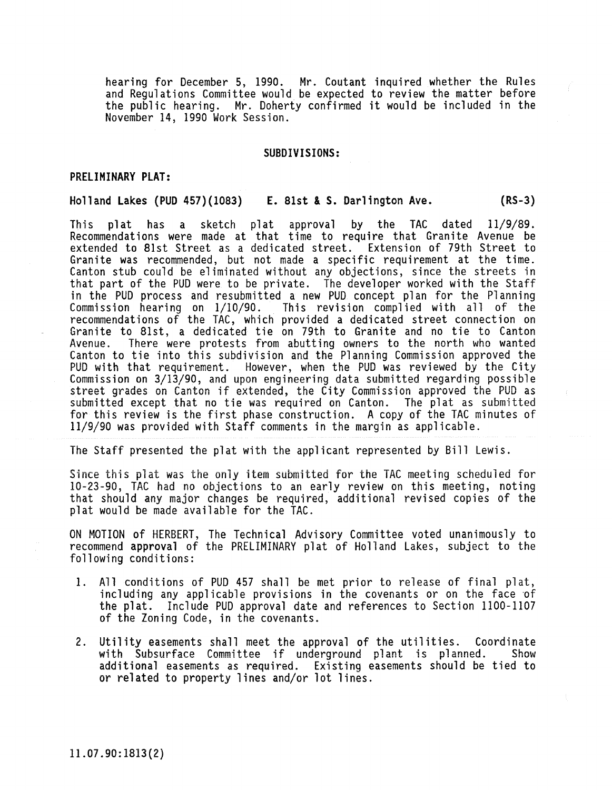hearing for December 5, 1990. Mr. Coutant inquired whether the Rules and Regulations Committee would be expected to review the matter before the public hearing. Mr. Doherty confirmed it would be included in the November 14, 1990 Work Session.

### SUBDIVISIONS:

## PRELIMINARY PLAT:

## Holland Lakes (PUD 457)(1083) E. 8Ist & S. Darlington Ave. (RS-3)

This plat has a sketch plat approval by the TAC dated 11/9/89. Recommendations were made at that time to require that Granite Avenue be extended to 81st Street as a dedicated street. Extension of 79th Street to Granite was recommended, but not made a specific requirement at the time. Canton stub could be eliminated without any objections, since the streets in that part of the PUD were to be private. The developer worked with the Staff in the PUD process and resubmitted a new PUD concept plan for the Planning<br>Commission hearing on 1/10/90. This revision complied with all of the This revision complied with all of the recommendations of the TAC, which provided a dedicated street connection on Granite to 81st, a dedicated tie on 79th to Granite and no tie to Canton Avenue. There were protests from abutting owners to the north who wanted Canton to tie into this subdivision and the Planning Commission approved the PUD with that requirement. However, when the PUD was reviewed by the City Commission on 3/13/90, and upon engineering data submitted regarding possible street grades on Canton if extended, the City Commission approved the PUD as submitted except that no tie was required on Canton. The plat as submitted for this review is the first phase construction. A copy of the TAC minutes of 11/9/90 was provided with Staff comments in the margin as applicable.

The Staff presented the plat with the applicant represented by Bill Lewis.

Since this plat was the oniy item submitted for the TAC meeting scheduled for 10-23-90, TAC had no objections to an early review on this meeting, noting that should any major changes be required, additional revised copies of the plat would be made available for the TAC.

ON MOTION of HERBERT, The Technical Advisory Committee voted unanimously to recommend approval of the PRELIMINARY plat of Holland Lakes, subject to the following conditions:

- 1. All conditions of PUD 457 shall be met prior to release of final plat, including any applicable provisions in the covenants or on the face of the plat. Include PUD approval date and references to Section 1100-1107 of the Zoning Code, in the covenants.
- 2. Utility easements shall meet the approval of the utilities. Coordinate with Subsurface Committee if underground plant is planned. Show additional easements as required. Existing easements should be tied to or related to property lines and/or lot lines.

11.07.90: 1813(2)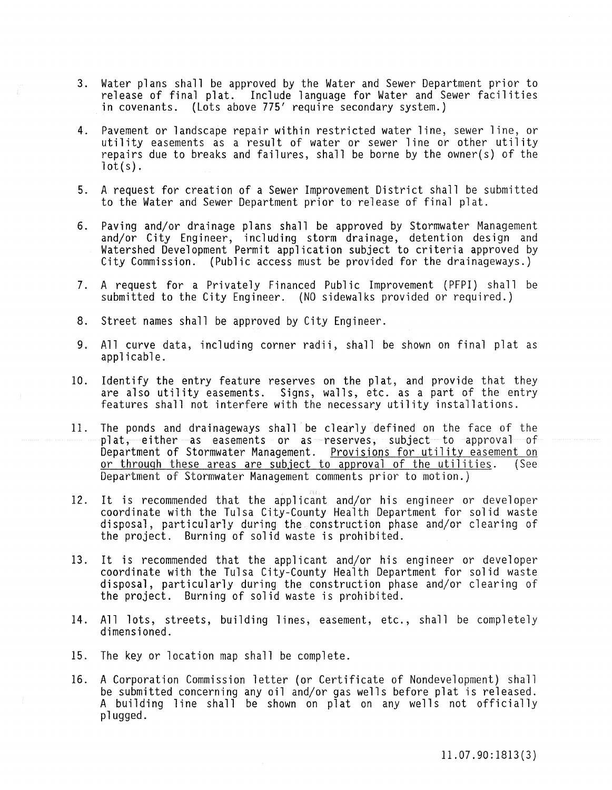- 3. Water plans shall be approved by the Water and Sewer Department prior to release of final plat. Include language for Water and Sewer facilities in covenants. (Lots above 775' require secondary system.)
- 4. Pavement or landscape repair within restricted water line, sewer line, or utility easements as a result of water or sewer line or other utility repairs due to breaks and failures, shall be borne by the owner(s) of the  $lot(s)$ .
- 5. A request for creation of a Sewer Improvement District shall be submitted to the Water and Sewer Department prior to release of final plat.
- 6. Paving and/or drainage plans shall be approved by Stormwater Management and/or City Engineer, including storm drainage, detention design and Watershed Development Permit application subject to criteria approved by City Commission. (Public access must be provided for the drainageways.)
- 7. A request for a Privately Financed Public Improvement (PFPI) shall be submitted to the City Engineer. (NO sidewalks provided or required.)
- 8. Street names shall be approved by City Engineer.
- 9. All curve data, including corner radii, shall be shown on final plat as applicable.
- 10. Identify the entry feature reserves on the plat, and provide that they are also utility easements. Signs, walls, etc. as a part of the entry features shall not interfere with the necessary utility installations.
- 11. The ponds and drainageways shall be clearly defined on the face of the plat, either as easements or as reserves, subject to approval of Department of Stormwater Management. Provisions for utility easement on or through these areas are subject to approval of the utilities. (See Department of Stormwater Management comments prior to motion.)
- 12. It is recommended that the applicant and/or his engineer or developer coordinate with the Tulsa City-County Health Department for solid waste **disposal, particularly during the construction phase and/or clearing of**  the project. Burning of solid waste is prohibited.
- 13. It is recommended that the applicant and/or his engineer or developer coordinate with the Tulsa City-County Health Department for solid waste disposal, particularly during the construction phase and/or clearing of the project. Burning of solid waste is prohibited.
- 14. All lots, streets, building lines, easement, etc., shall be completely dimensioned.
- 15. The key or location map shall be complete.
- 16. A Corporation Commission letter (or Certificate of Nondevelopment) shall be submitted concerning any oil and/or gas wells before plat is released. A building line shall be shown on plat on any wells not officially plugged.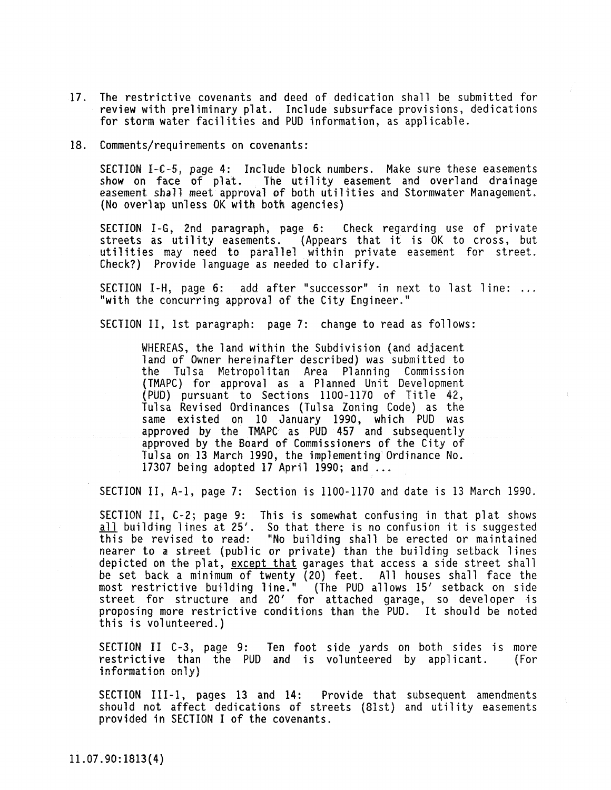- 17. The restrictive covenants and deed of dedication shall be submitted for review with preliminary plat. Include subsurface provisions, dedications for storm water facilities and PUD information, as applicable.
- 18. Comments/requirements on covenants:

SECTION I-C-5, page 4: Include block numbers. Make sure these easements<br>show on face of plat. The utility easement and overland drainage The utility easement and overland drainage easement shall meet approval of both utilities and Stormwater Management.<br>(No overlap unless OK with both agencies)

SECTION I-G, 2nd paragraph, page 6: Check regarding use of private streets as utility easements. (Appears that it is OK to cross, but utilities may need to parallel within private easement for street. Check?) Provide language as needed to clarify.

SECTION I-H, page 6: add after "successor" in next to last line: "with the concurring approval of the City Engineer."

SECTION II, 1st paragraph: page 7: change to read as follows:

WHEREAS, the land within the Subdivision (and adjacent land of Owner hereinafter described) was submitted to the Tulsa Metropolitan Area Planning Commission (TMAPC) for approval as a Planned Unit Development (PUD) pursuant to Sections 1100-1170 of Title 42, Tulsa Revised Ordinances (Tulsa Zoning Code) as the same existed on 10 January 1990, which PUD was approved by the TMAPC as PUD 457 and subsequently approved by the Board of Commissioners of the City of Tulsa on 13 March 1990, the implementing Ordinance No. 17307 being adopted 17 April 1990; and ...

SECTION II, A-I, page 7: Section is 1100-1170 and date is 13 March 1990.

SECTION II, C-2; page 9: This is somewhat confusing in that plat shows all building lines at 25'. So that there is no confusion it is suggested this be revised to read: "No building shall be erected or maintained nearer to a street (public or private) than the building setback lines depicted on the plat, except that garages that access a side street shall be set back a minimum of twenty (20) feet. All houses shall face the most restrictive building line." (The PUD allows IS' setback on side street for structure and 20' for attached garage, so developer is proposing more restrictive conditions than the PUD. It should be noted this is volunteered.)

SECTION II C-3, page 9: Ten foot side yards on both sides is more restrictive than the PUD and is volunteered by applicant. (For information only)

SECTION III-1, pages 13 and 14: Provide that subsequent amendments should not affect dedications of streets (81st) and utility easements provided in SECTION I of the covenants.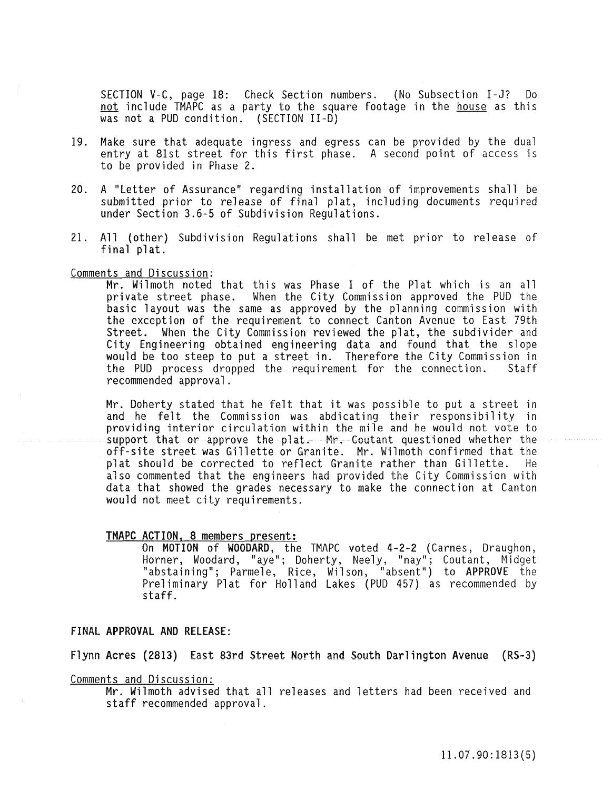SECTION V-C, page 18: Check Section numbers. (No Subsection I-J? Do not include TMAPC as a party to the square footage in the house as this was not a PUD condition. (SECTION II-D)

- 19. Make sure that adequate ingress and egress can be provided by the dual entry at 81st street for this first phase. A second point of access is to be provided in Phase 2.
- 20. A "Letter of Assurance" regarding installation of improvements shall be submitted prior to release of final plat, including documents required under Section 3.6-5 of Subdivision Regulations.
- 21. All (other) Subdivision Regulations shall be met prior to release of final plat.

### Comments and Discussion:

Mr. Wilmoth noted that this was Phase I of the Plat which is an all private street phase. When the City Commission approved the PUD the basic layout was the same as approved by the planning commission with the exception of the requirement to connect Canton Avenue to East 79th Street. When the City Commission reviewed the plat, the subdivider and City Engineering obtained engineering data and found that the slope would be too steep to put a street in. Therefore the City Commission in<br>the PUD process dropped the requirement for the connection. Staff the PUD process dropped the requirement for the connection. recommended approval.

Mr. Doherty stated that he felt that it was possible to put a street in and he felt the Commission was abdicating their responsibility in providing interior circulation within the mile and he would not vote to support that or approve the plat. Mr. Coutant questioned whether the off-site street was Gillette or Granite. Mr. Wilmoth confirmed that the plat should be corrected to reflect Granite rather than Gillette. He also commented that the engineers had provided the City Commission with data that showed the grades necessary to make the connection at Canton would not meet city requirements.

## TMAPC ACTION. 8 members present:

On MOTION of WOODARD, the TMAPC voted 4-2-2 (Carnes, Draughon, Horner, Woodard, "aye"; Doherty, Neely, "nay"; Coutant, Midget "abstaining"; Parmele, Rice, Wilson, "absent") to APPROVE the Preliminary Plat for Holland Lakes (PUD 457) as recommended by staff.

# FINAL APPROVAL AND RELEASE:

Flynn Acres (2813) East 83rd Street North and South Darlington Avenue (RS-3)

Comments and Discussion:

Mr. Wilmoth advised that all releases and letters had been received and staff recommended approval.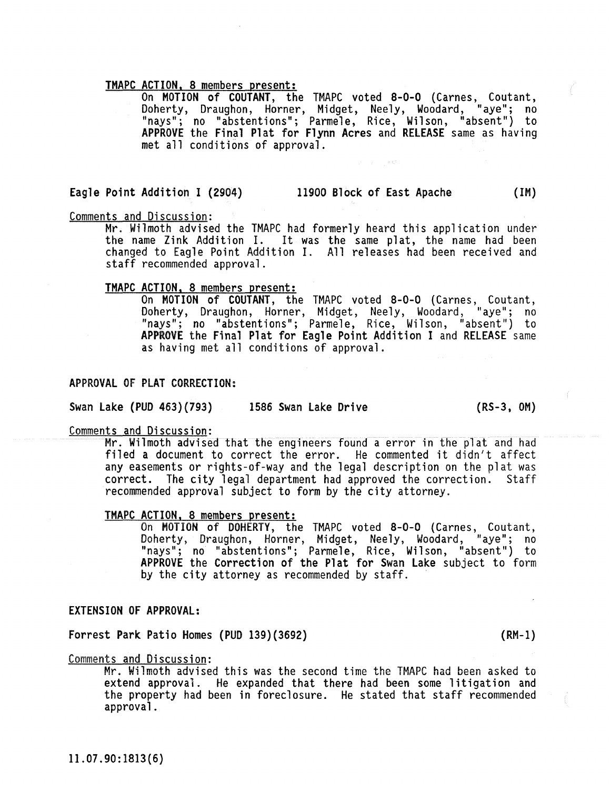TMAPC ACTION, 8 members present: On MOTION of COUTANT, the TMAPC voted 8-0-0 (Carnes, Coutant, Doherty, Draughon, Horner, Midget, Neely, Woodard, "aye"; no "nays"; no "abstentions"; Parmele, Rice, Wilson, "absent") to APPROVE the Final Plat for Flynn Acres and RELEASE same as having met all conditions of approval.

# Eagle Point Addition I (2904) 11900 Block of East Apache (1M)

Comments and Discussion:

Mr. Wilmoth advised the TMAPC had formerly heard this application under the name Zink Addition I. It was the same plat, the name had been changed to Eagle Point Addition 1. All releases had been received and staff recommended approval.

TMAPC ACTION, 8 members present: On MOTION of COUTANT, the TMAPC voted 8-0-0 (Carnes, Coutant, Doherty, Draughon, Horner, Midget, Neely, Woodard, "aye"; no "nays"; no "abstentions"; Parmele, Rice, Wilson, "absent") to APPROVE the Final Plat for Eagle Point Addition I and RELEASE same as having met all conditions of approval.

# APPROVAL OF PLAT CORRECTION:

Swan Lake (PUD 463)(793) 1586 Swan lake Drive (RS-3, OM)

## Comments and Discussion:

Mr. Wilmoth advised that the engineers found a error in the plat and had filed a document to correct the error. He commented it didn't affect any easements or rights-of-way and the legal description on the plat was correct. The city legal department had approved the correction. Staff recommended approval subject to form by the city attorney.

TMAPC ACTION, 8 members present: On MOTION of DOHERTY, the TMAPC voted 8-0-0 (Carnes, Coutant, Doherty, Draughon, Horner, Midget, Neely, Woodard, "aye"; no "nays"; no "abstentions"; Parmele, Rice, Wilson, "absent") to APPROVE the Correction of the Plat for Swan Lake subject to form by the city attorney as recommended by staff.

# EXTENSION OF APPROVAL:

Forrest Park Patio Homes (PUD 139)(3692) (RM-1)

Comments and Discussion:

Mr. Wilmoth advised this was the second time the TMAPC had been asked to extend approval. He expanded that there had been some litigation and the property had been in foreclosure. He stated that staff recommended approval.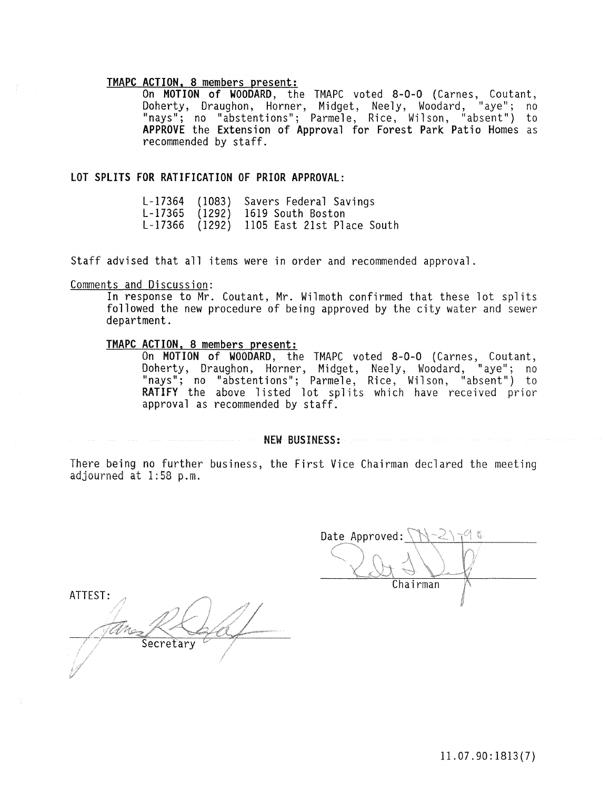TMAPC ACTION. 8 members present: On MOTION of WOODARD, the TMAPC voted 8-0-0 (Carnes, Coutant, Doherty, Draughon, Horner, Midget, Neely, Woodard, "aye"; no "nays"; no "abstentions"; Parmele, Rice, Wilson, "absent") to APPROVE the Extension of Approval for Forest Park Patio Homes as recommended by staff.

# LOT SPLITS FOR RATIFICATION OF PRIOR APPROVAL:

L-17364 (1083) Savers Federal Savings L-17365 (1292) 1619 South Boston L-17366 (1292) 1105 East 21st Place South

Staff advised that all items were in order and recommended approval.

## Comments and Discussion:

In response to Mr. Coutant, Mr. Wilmoth confirmed that these lot splits followed the new procedure of being approved by the city water and sewer department.

# TMAPC ACTION. 8 members present:

On MOTION of WOODARD, the TMAPC voted 8-0-0 (Carnes, Coutant, Doherty, Draughon, Horner, Midget, Neely, Woodard, "aye"; no "nays"; no "abstentions"; Parmele, Rice, Wilson, "absent") to RATIFY the above listed lot splits which have received prior approval as recommended by staff.

NEW BUSINESS:

There being no further business, the First Vice Chairman declared the meeting adjourned at 1:58 p.m.

ATTEST: Secretary

Date Approved:  $\setminus$ Chairman